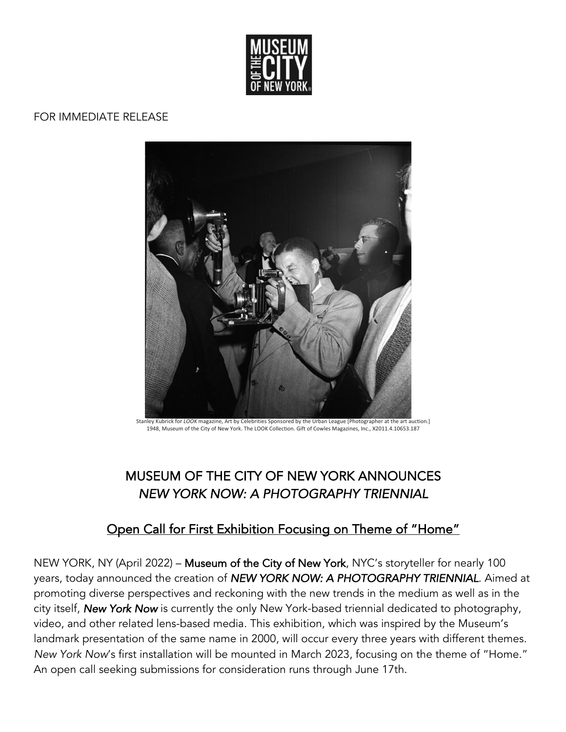

#### FOR IMMEDIATE RELEASE



Stanley Kubrick for *LOOK* magazine, Art by Celebrities Sponsored by the Urban League [Photographer at the art auction.] 1948, Museum of the City of New York. The LOOK Collection. Gift of Cowles Magazines, Inc., X2011.4.10653.187

# MUSEUM OF THE CITY OF NEW YORK ANNOUNCES *NEW YORK NOW: A PHOTOGRAPHY TRIENNIAL*

## Open Call for First Exhibition Focusing on Theme of "Home"

NEW YORK, NY (April 2022) – Museum of the City of New York, NYC's storyteller for nearly 100 years, today announced the creation of *NEW YORK NOW: A PHOTOGRAPHY TRIENNIAL*. Aimed at promoting diverse perspectives and reckoning with the new trends in the medium as well as in the city itself, *New York Now* is currently the only New York-based triennial dedicated to photography, video, and other related lens-based media. This exhibition, which was inspired by the Museum's landmark presentation of the same name in 2000, will occur every three years with different themes. *New York Now*'s first installation will be mounted in March 2023, focusing on the theme of "Home." An open call seeking submissions for consideration runs through June 17th.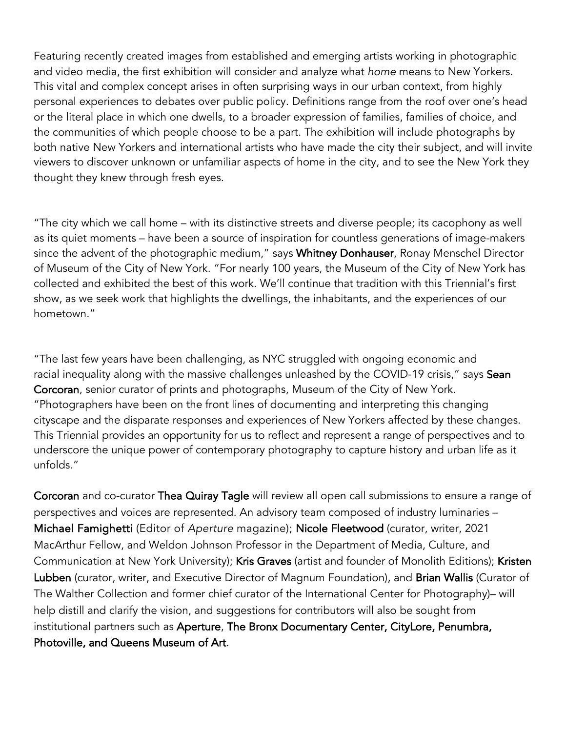Featuring recently created images from established and emerging artists working in photographic and video media, the first exhibition will consider and analyze what *home* means to New Yorkers. This vital and complex concept arises in often surprising ways in our urban context, from highly personal experiences to debates over public policy. Definitions range from the roof over one's head or the literal place in which one dwells, to a broader expression of families, families of choice, and the communities of which people choose to be a part. The exhibition will include photographs by both native New Yorkers and international artists who have made the city their subject, and will invite viewers to discover unknown or unfamiliar aspects of home in the city, and to see the New York they thought they knew through fresh eyes.

"The city which we call home – with its distinctive streets and diverse people; its cacophony as well as its quiet moments – have been a source of inspiration for countless generations of image-makers since the advent of the photographic medium," says Whitney Donhauser, Ronay Menschel Director of Museum of the City of New York. "For nearly 100 years, the Museum of the City of New York has collected and exhibited the best of this work. We'll continue that tradition with this Triennial's first show, as we seek work that highlights the dwellings, the inhabitants, and the experiences of our hometown."

"The last few years have been challenging, as NYC struggled with ongoing economic and racial inequality along with the massive challenges unleashed by the COVID-19 crisis," says Sean Corcoran, senior curator of prints and photographs, Museum of the City of New York. "Photographers have been on the front lines of documenting and interpreting this changing cityscape and the disparate responses and experiences of New Yorkers affected by these changes. This Triennial provides an opportunity for us to reflect and represent a range of perspectives and to underscore the unique power of contemporary photography to capture history and urban life as it unfolds."

Corcoran and co-curator Thea Quiray Tagle will review all open call submissions to ensure a range of perspectives and voices are represented. An advisory team composed of industry luminaries – Michael Famighetti (Editor of *Aperture* magazine); Nicole Fleetwood (curator, writer, 2021 MacArthur Fellow, and Weldon Johnson Professor in the Department of Media, Culture, and Communication at New York University); Kris Graves (artist and founder of Monolith Editions); Kristen Lubben (curator, writer, and Executive Director of Magnum Foundation), and Brian Wallis (Curator of The Walther Collection and former chief curator of the International Center for Photography)– will help distill and clarify the vision, and suggestions for contributors will also be sought from institutional partners such as Aperture, The Bronx Documentary Center, CityLore, Penumbra, Photoville, and Queens Museum of Art.